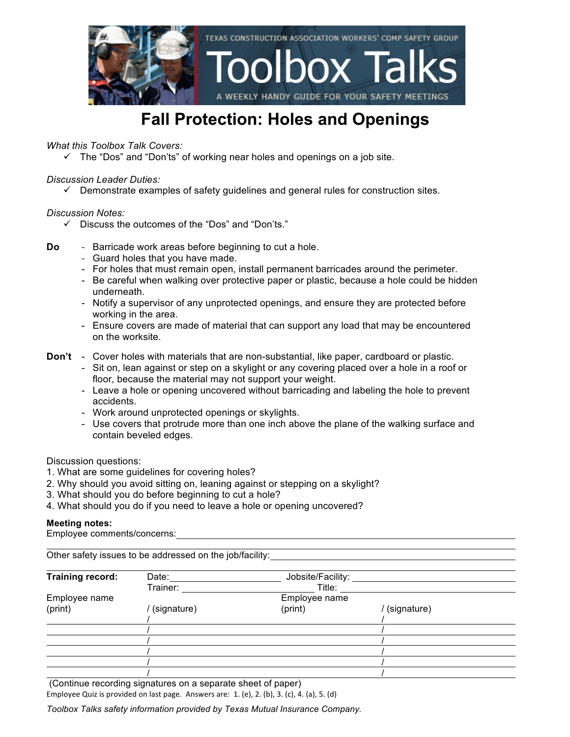

### **Fall Protection: Holes and Openings**

*What this Toolbox Talk Covers:*

 $\checkmark$  The "Dos" and "Don'ts" of working near holes and openings on a job site.

#### *Discussion Leader Duties:*

 $\checkmark$  Demonstrate examples of safety guidelines and general rules for construction sites.

#### *Discussion Notes:*

- $\checkmark$  Discuss the outcomes of the "Dos" and "Don'ts."
- **Do** Barricade work areas before beginning to cut a hole.
	- Guard holes that you have made.
	- For holes that must remain open, install permanent barricades around the perimeter.
	- Be careful when walking over protective paper or plastic, because a hole could be hidden underneath.
	- Notify a supervisor of any unprotected openings, and ensure they are protected before working in the area.
	- Ensure covers are made of material that can support any load that may be encountered on the worksite.
- **Don't** Cover holes with materials that are non-substantial, like paper, cardboard or plastic.
	- Sit on, lean against or step on a skylight or any covering placed over a hole in a roof or floor, because the material may not support your weight.
	- Leave a hole or opening uncovered without barricading and labeling the hole to prevent accidents.
	- Work around unprotected openings or skylights.
	- Use covers that protrude more than one inch above the plane of the walking surface and contain beveled edges.

Discussion questions:

- 1. What are some guidelines for covering holes?
- 2. Why should you avoid sitting on, leaning against or stepping on a skylight?
- 3. What should you do before beginning to cut a hole?
- 4. What should you do if you need to leave a hole or opening uncovered?

#### **Meeting notes:**

Employee comments/concerns:

Other safety issues to be addressed on the job/facility:

| <b>Training record:</b> | Date:       | Jobsite/Facility: |             |  |
|-------------------------|-------------|-------------------|-------------|--|
|                         | Trainer:    | Title:            |             |  |
| Employee name           |             | Employee name     |             |  |
| (print)                 | (signature) | (print)           | (signature) |  |
|                         |             |                   |             |  |
|                         |             |                   |             |  |
|                         |             |                   |             |  |
|                         |             |                   |             |  |
|                         |             |                   |             |  |
|                         |             |                   |             |  |

(Continue recording signatures on a separate sheet of paper)

Employee Quiz is provided on last page. Answers are:  $1.$  (e),  $2.$  (b),  $3.$  (c),  $4.$  (a),  $5.$  (d)

*Toolbox Talks safety information provided by Texas Mutual Insurance Company.*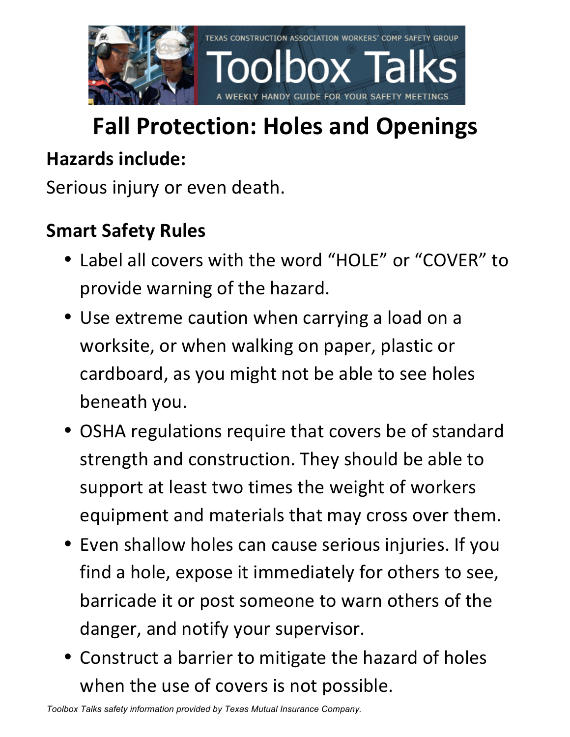

# **Fall Protection: Holes and Openings**

### **Hazards include:**

Serious injury or even death.

## **Smart Safety Rules**

- Label all covers with the word "HOLE" or "COVER" to provide warning of the hazard.
- Use extreme caution when carrying a load on a worksite, or when walking on paper, plastic or cardboard, as you might not be able to see holes beneath you.
- OSHA regulations require that covers be of standard strength and construction. They should be able to support at least two times the weight of workers equipment and materials that may cross over them.
- Even shallow holes can cause serious injuries. If you find a hole, expose it immediately for others to see, barricade it or post someone to warn others of the danger, and notify your supervisor.
- Construct a barrier to mitigate the hazard of holes when the use of covers is not possible.

*Toolbox Talks safety information provided by Texas Mutual Insurance Company.*